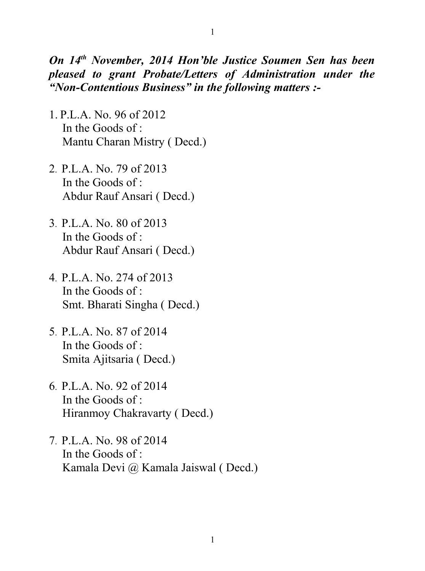## *On 14th November, 2014 Hon'ble Justice Soumen Sen has been pleased to grant Probate/Letters of Administration under the "Non-Contentious Business" in the following matters :-*

- 1. P.L.A. No. 96 of 2012 In the Goods of : Mantu Charan Mistry ( Decd.)
- 2. P.L.A. No. 79 of 2013 In the Goods of : Abdur Rauf Ansari ( Decd.)
- 3. P.L.A. No. 80 of 2013 In the Goods of : Abdur Rauf Ansari ( Decd.)
- 4. P.L.A. No. 274 of 2013 In the Goods of : Smt. Bharati Singha ( Decd.)
- 5. P.L.A. No. 87 of 2014 In the Goods of : Smita Ajitsaria ( Decd.)
- 6. P.L.A. No. 92 of 2014 In the Goods of : Hiranmoy Chakravarty ( Decd.)
- 7. P.L.A. No. 98 of 2014 In the Goods of : Kamala Devi @ Kamala Jaiswal ( Decd.)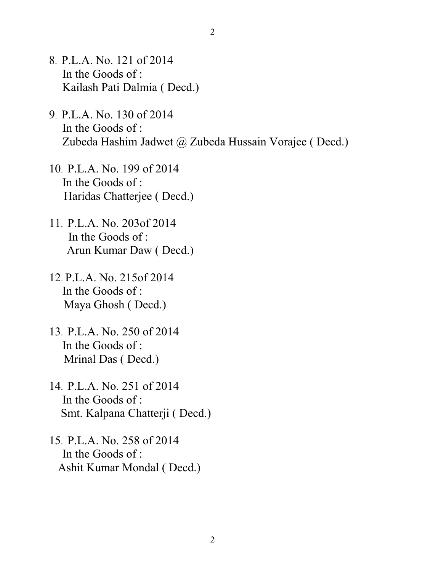- 8. P.L.A. No. 121 of 2014 In the Goods of : Kailash Pati Dalmia ( Decd.)
- 9. P.L.A. No. 130 of 2014 In the Goods of : Zubeda Hashim Jadwet @ Zubeda Hussain Vorajee ( Decd.)
- 10. P.L.A. No. 199 of 2014 In the Goods of : Haridas Chatterjee ( Decd.)
- 11. P.L.A. No. 203of 2014 In the Goods of : Arun Kumar Daw ( Decd.)
- 12. P.L.A. No. 215of 2014 In the Goods of : Maya Ghosh ( Decd.)
- 13. P.L.A. No. 250 of 2014 In the Goods of : Mrinal Das ( Decd.)
- 14. P.L.A. No. 251 of 2014 In the Goods of : Smt. Kalpana Chatterji ( Decd.)
- 15. P.L.A. No. 258 of 2014 In the Goods of : Ashit Kumar Mondal ( Decd.)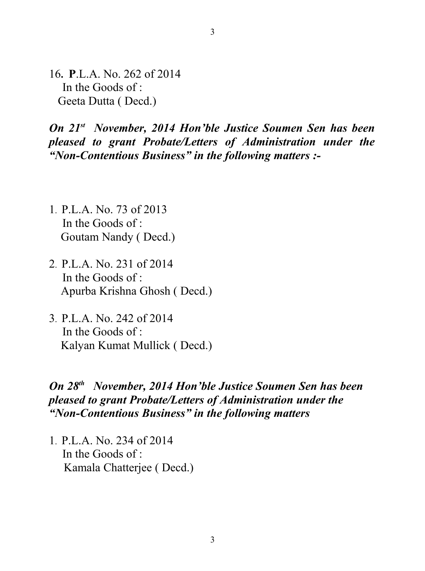16**. P**.L.A. No. 262 of 2014 In the Goods of : Geeta Dutta ( Decd.)

*On 21st November, 2014 Hon'ble Justice Soumen Sen has been pleased to grant Probate/Letters of Administration under the "Non-Contentious Business" in the following matters :-*

- 1. P.L.A. No. 73 of 2013 In the Goods of : Goutam Nandy ( Decd.)
- 2. P.L.A. No. 231 of 2014 In the Goods of : Apurba Krishna Ghosh ( Decd.)
- 3. P.L.A. No. 242 of 2014 In the Goods of : Kalyan Kumat Mullick ( Decd.)

## *On 28th November, 2014 Hon'ble Justice Soumen Sen has been pleased to grant Probate/Letters of Administration under the "Non-Contentious Business" in the following matters*

1. P.L.A. No. 234 of 2014 In the Goods of : Kamala Chatterjee ( Decd.)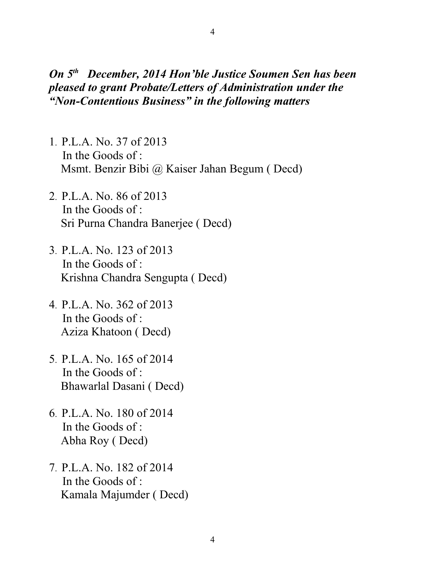## *On 5th December, 2014 Hon'ble Justice Soumen Sen has been pleased to grant Probate/Letters of Administration under the "Non-Contentious Business" in the following matters*

- 1. P.L.A. No. 37 of 2013 In the Goods of : Msmt. Benzir Bibi @ Kaiser Jahan Begum ( Decd)
- 2. P.L.A. No. 86 of 2013 In the Goods of : Sri Purna Chandra Banerjee ( Decd)
- 3. P.L.A. No. 123 of 2013 In the Goods of : Krishna Chandra Sengupta ( Decd)
- 4. P.L.A. No. 362 of 2013 In the Goods of : Aziza Khatoon ( Decd)
- 5. P.L.A. No. 165 of 2014 In the Goods of : Bhawarlal Dasani ( Decd)
- 6. P.L.A. No. 180 of 2014 In the Goods of : Abha Roy ( Decd)
- 7. P.L.A. No. 182 of 2014 In the Goods of : Kamala Majumder ( Decd)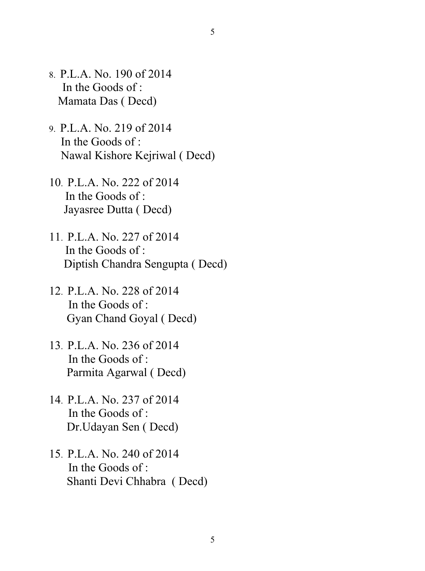- 8. P.L.A. No. 190 of 2014 In the Goods of : Mamata Das ( Decd)
- 9. P.L.A. No. 219 of 2014 In the Goods of : Nawal Kishore Kejriwal ( Decd)
- 10. P.L.A. No. 222 of 2014 In the Goods of : Jayasree Dutta ( Decd)
- 11. P.L.A. No. 227 of 2014 In the Goods of : Diptish Chandra Sengupta ( Decd)
- 12. P.L.A. No. 228 of 2014 In the Goods of : Gyan Chand Goyal ( Decd)
- 13. P.L.A. No. 236 of 2014 In the Goods of : Parmita Agarwal ( Decd)
- 14. P.L.A. No. 237 of 2014 In the Goods of : Dr.Udayan Sen ( Decd)
- 15. P.L.A. No. 240 of 2014 In the Goods of : Shanti Devi Chhabra ( Decd)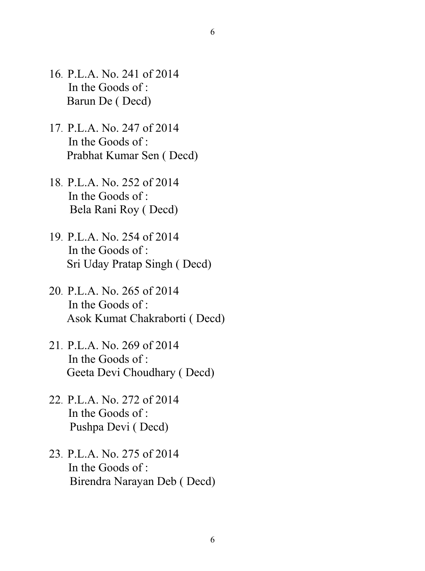- 16. P.L.A. No. 241 of 2014 In the Goods of : Barun De ( Decd)
- 17. P.L.A. No. 247 of 2014 In the Goods of : Prabhat Kumar Sen ( Decd)
- 18. P.L.A. No. 252 of 2014 In the Goods of : Bela Rani Roy ( Decd)
- 19. P.L.A. No. 254 of 2014 In the Goods of : Sri Uday Pratap Singh ( Decd)
- 20. P.L.A. No. 265 of 2014 In the Goods of : Asok Kumat Chakraborti ( Decd)
- 21. P.L.A. No. 269 of 2014 In the Goods of : Geeta Devi Choudhary ( Decd)
- 22. P.L.A. No. 272 of 2014 In the Goods of : Pushpa Devi ( Decd)
- 23. P.L.A. No. 275 of 2014 In the Goods of : Birendra Narayan Deb ( Decd)